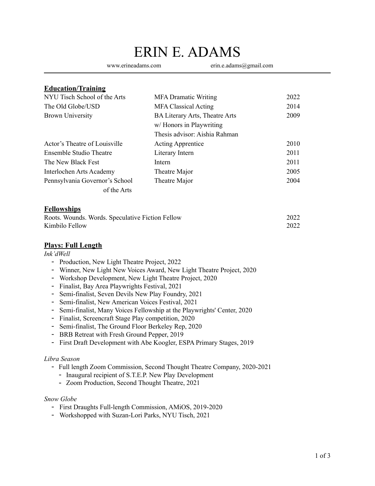# ERIN E. ADAMS

www.erineadams.com erin.e.adams@gmail.com

### **Education/Training**

| NYU Tisch School of the Arts   | <b>MFA Dramatic Writing</b>    | 2022 |
|--------------------------------|--------------------------------|------|
| The Old Globe/USD              | <b>MFA Classical Acting</b>    | 2014 |
| <b>Brown University</b>        | BA Literary Arts, Theatre Arts | 2009 |
|                                | w/Honors in Playwriting        |      |
|                                | Thesis advisor: Aishia Rahman  |      |
| Actor's Theatre of Louisville  | <b>Acting Apprentice</b>       | 2010 |
| Ensemble Studio Theatre        | Literary Intern                | 2011 |
| The New Black Fest             | Intern                         | 2011 |
| Interlochen Arts Academy       | Theatre Major                  | 2005 |
| Pennsylvania Governor's School | Theatre Major                  | 2004 |
| of the Arts                    |                                |      |

#### **Fellowships**

| Roots. Wounds. Words. Speculative Fiction Fellow | 2022 |
|--------------------------------------------------|------|
| Kimbilo Fellow                                   | 2022 |

### **Plays: Full Length**

#### *Ink'dWell*

- Production, New Light Theatre Project, 2022
- Winner, New Light New Voices Award, New Light Theatre Project, 2020
- Workshop Development, New Light Theatre Project, 2020
- Finalist, Bay Area Playwrights Festival, 2021
- Semi-finalist, Seven Devils New Play Foundry, 2021
- Semi-finalist, New American Voices Festival, 2021
- Semi-finalist, Many Voices Fellowship at the Playwrights' Center, 2020
- Finalist, Screencraft Stage Play competition, 2020
- Semi-finalist, The Ground Floor Berkeley Rep, 2020
- BRB Retreat with Fresh Ground Pepper, 2019
- First Draft Development with Abe Koogler, ESPA Primary Stages, 2019

#### *Libra Season*

- Full length Zoom Commission, Second Thought Theatre Company, 2020-2021
	- Inaugural recipient of S.T.E.P. New Play Development
	- Zoom Production, Second Thought Theatre, 2021

#### *Snow Globe*

- First Draughts Full-length Commission, AMiOS, 2019-2020
- Workshopped with Suzan-Lori Parks, NYU Tisch, 2021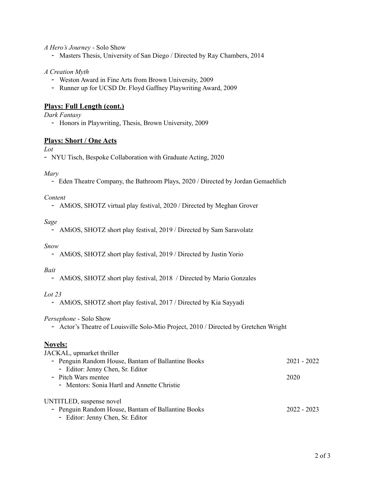#### *A Hero's Journey* - Solo Show

- Masters Thesis, University of San Diego / Directed by Ray Chambers, 2014

#### *A Creation Myth*

- Weston Award in Fine Arts from Brown University, 2009
- Runner up for UCSD Dr. Floyd Gaffney Playwriting Award, 2009

#### **Plays: Full Length (cont.)**

#### *Dark Fantasy*

- Honors in Playwriting, Thesis, Brown University, 2009

#### **Plays: Short / One Acts**

*Lot*

- NYU Tisch, Bespoke Collaboration with Graduate Acting, 2020

#### *Mary*

*-* Eden Theatre Company, the Bathroom Plays, 2020 / Directed by Jordan Gemaehlich

#### *Content*

- AMiOS, SHOTZ virtual play festival, 2020 / Directed by Meghan Grover

#### *Sage*

- AMiOS, SHOTZ short play festival, 2019 / Directed by Sam Saravolatz

#### *Snow*

- AMiOS, SHOTZ short play festival, 2019 / Directed by Justin Yorio

#### *Bait*

- AMiOS, SHOTZ short play festival, 2018 / Directed by Mario Gonzales

#### *Lot 23*

- AMiOS, SHOTZ short play festival, 2017 / Directed by Kia Sayyadi

#### *Persephone* - Solo Show

- Actor's Theatre of Louisville Solo-Mio Project, 2010 / Directed by Gretchen Wright

#### **Novels:**  $\overline{M}$   $\overline{M}$   $\overline{M}$   $\overline{M}$   $\overline{M}$   $\overline{M}$   $\overline{M}$

| JACKAL, upmarket thriller                          |               |
|----------------------------------------------------|---------------|
| - Penguin Random House, Bantam of Ballantine Books | 2021 - 2022   |
| - Editor: Jenny Chen, Sr. Editor                   |               |
| - Pitch Wars mentee                                | 2020          |
| - Mentors: Sonia Hartl and Annette Christie        |               |
| UNTITLED, suspense novel                           |               |
| - Penguin Random House, Bantam of Ballantine Books | $2022 - 2023$ |
| - Editor: Jenny Chen, Sr. Editor                   |               |